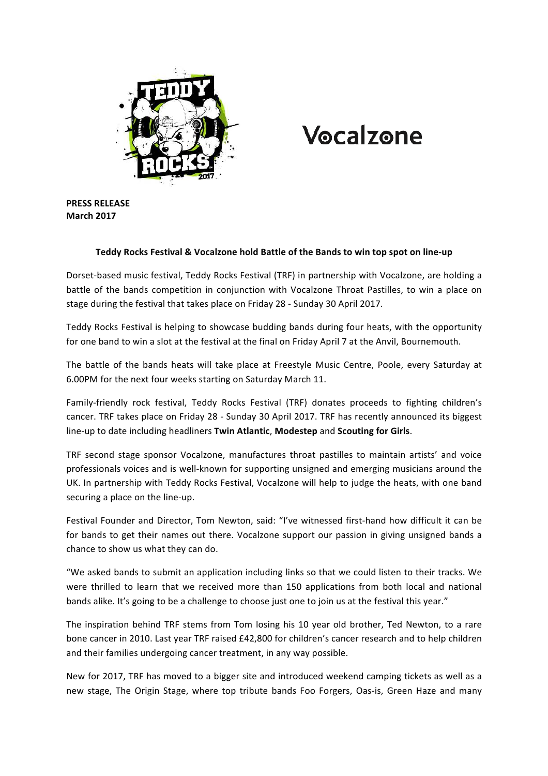

# Vocalzone

**PRESS RELEASE March 2017**

# Teddy Rocks Festival & Vocalzone hold Battle of the Bands to win top spot on line-up

Dorset-based music festival, Teddy Rocks Festival (TRF) in partnership with Vocalzone, are holding a battle of the bands competition in conjunction with Vocalzone Throat Pastilles, to win a place on stage during the festival that takes place on Friday 28 - Sunday 30 April 2017.

Teddy Rocks Festival is helping to showcase budding bands during four heats, with the opportunity for one band to win a slot at the festival at the final on Friday April 7 at the Anvil, Bournemouth.

The battle of the bands heats will take place at Freestyle Music Centre, Poole, every Saturday at 6.00PM for the next four weeks starting on Saturday March 11.

Family-friendly rock festival, Teddy Rocks Festival (TRF) donates proceeds to fighting children's cancer. TRF takes place on Friday 28 - Sunday 30 April 2017. TRF has recently announced its biggest line-up to date including headliners **Twin Atlantic, Modestep** and **Scouting for Girls.** 

TRF second stage sponsor Vocalzone, manufactures throat pastilles to maintain artists' and voice professionals voices and is well-known for supporting unsigned and emerging musicians around the UK. In partnership with Teddy Rocks Festival, Vocalzone will help to judge the heats, with one band securing a place on the line-up.

Festival Founder and Director, Tom Newton, said: "I've witnessed first-hand how difficult it can be for bands to get their names out there. Vocalzone support our passion in giving unsigned bands a chance to show us what they can do.

"We asked bands to submit an application including links so that we could listen to their tracks. We were thrilled to learn that we received more than 150 applications from both local and national bands alike. It's going to be a challenge to choose just one to join us at the festival this year."

The inspiration behind TRF stems from Tom losing his 10 year old brother, Ted Newton, to a rare bone cancer in 2010. Last year TRF raised £42,800 for children's cancer research and to help children and their families undergoing cancer treatment, in any way possible.

New for 2017, TRF has moved to a bigger site and introduced weekend camping tickets as well as a new stage, The Origin Stage, where top tribute bands Foo Forgers, Oas-is, Green Haze and many